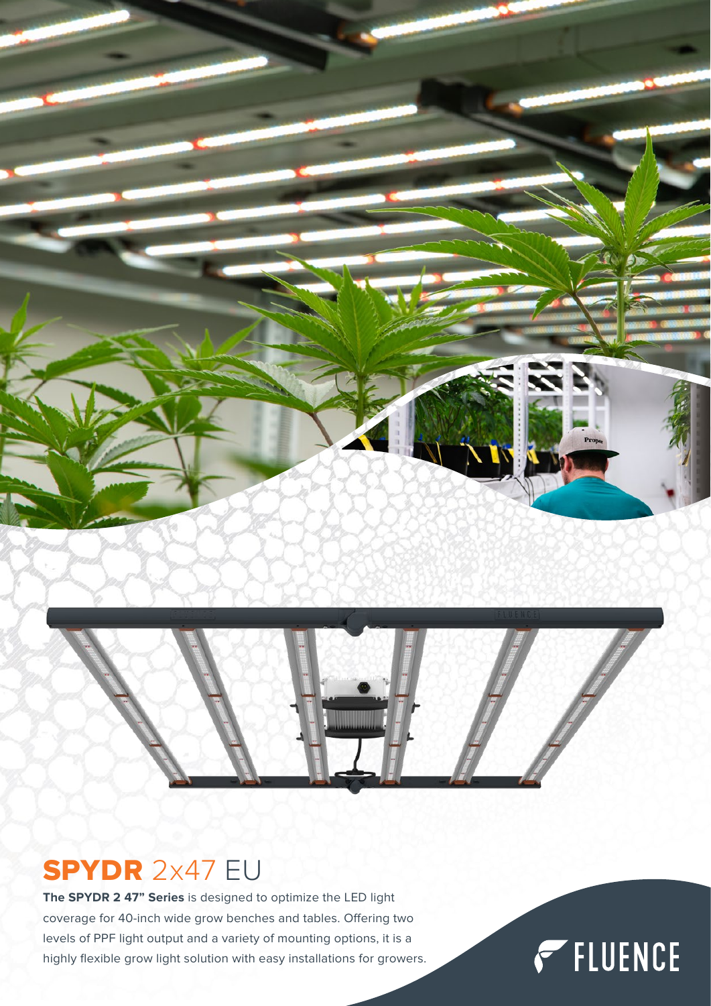



## SPYDR 2x47 EU

**The SPYDR 2 47" Series** is designed to optimize the LED light coverage for 40-inch wide grow benches and tables. Offering two levels of PPF light output and a variety of mounting options, it is a highly flexible grow light solution with easy installations for growers.

## FIUENCE